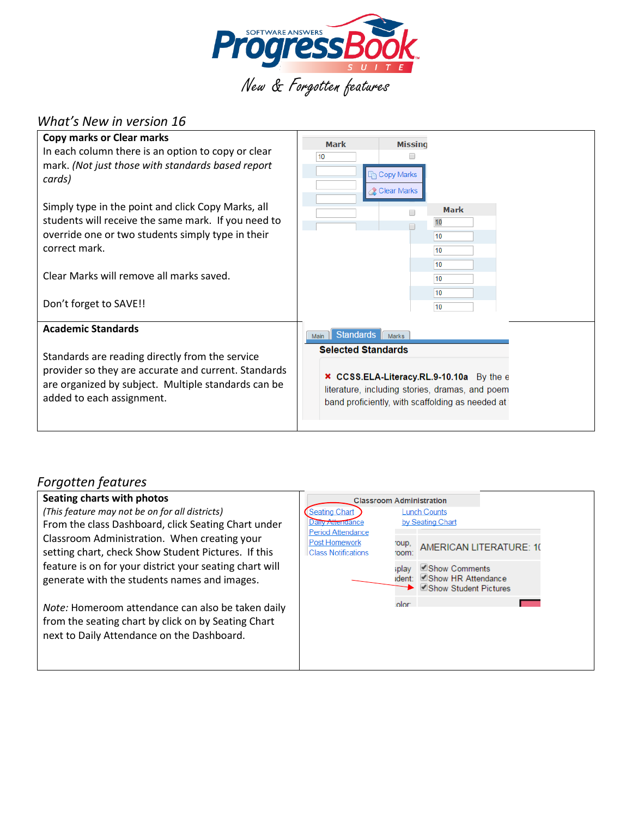

# *What's New in version 16*

| <b>Copy marks or Clear marks</b><br>In each column there is an option to copy or clear<br>mark. (Not just those with standards based report<br>cards)                                                                                                 | <b>Missing</b><br><b>Mark</b><br>10<br><b>Copy Marks</b><br><b>Clear Marks</b>                                                                                                                                |
|-------------------------------------------------------------------------------------------------------------------------------------------------------------------------------------------------------------------------------------------------------|---------------------------------------------------------------------------------------------------------------------------------------------------------------------------------------------------------------|
| Simply type in the point and click Copy Marks, all<br>students will receive the same mark. If you need to<br>override one or two students simply type in their<br>correct mark.<br>Clear Marks will remove all marks saved.<br>Don't forget to SAVE!! | <b>Mark</b><br>10<br>10<br>10<br>10<br>10<br>10                                                                                                                                                               |
| <b>Academic Standards</b><br>Standards are reading directly from the service<br>provider so they are accurate and current. Standards<br>are organized by subject. Multiple standards can be<br>added to each assignment.                              | 10<br>Standards Marks<br>Main<br><b>Selected Standards</b><br>x CCSS.ELA-Literacy.RL.9-10.10a By the e<br>literature, including stories, dramas, and poem<br>band proficiently, with scaffolding as needed at |

# *Forgotten features*

## **Seating charts with photos**

*(This feature may not be on for all districts)* From the class Dashboard, click Seating Chart under Classroom Administration. When creating your setting chart, check Show Student Pictures. If this feature is on for your district your seating chart will generate with the students names and images.

*Note:* Homeroom attendance can also be taken daily from the seating chart by click on by Seating Chart next to Daily Attendance on the Dashboard.

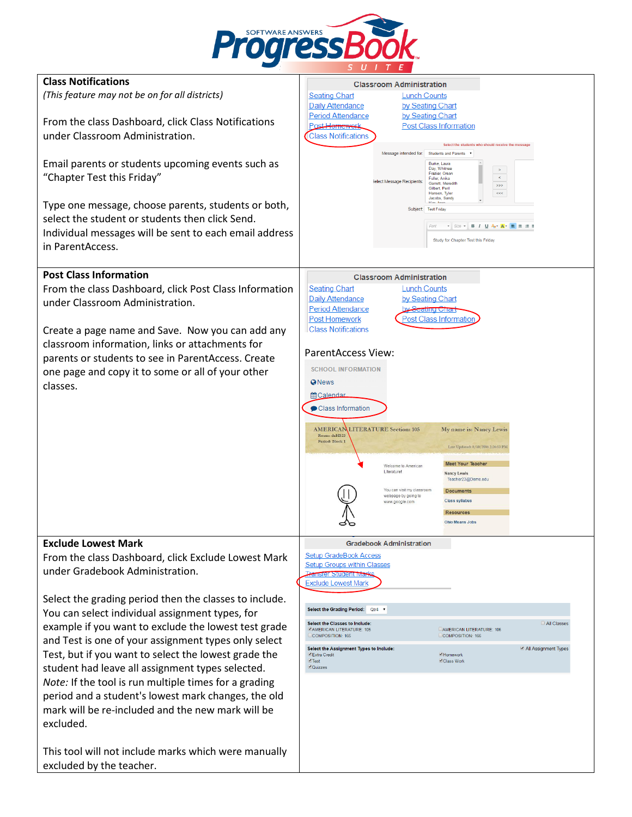

| <b>Class Notifications</b>                             | <b>Classroom Administration</b>                                                                              |
|--------------------------------------------------------|--------------------------------------------------------------------------------------------------------------|
| (This feature may not be on for all districts)         | <b>Seating Chart</b><br><b>Lunch Counts</b>                                                                  |
|                                                        | Daily Attendance<br>by Seating Chart                                                                         |
|                                                        | <b>Period Attendance</b><br>by Seating Chart                                                                 |
| From the class Dashboard, click Class Notifications    | Post Hemework                                                                                                |
|                                                        | <b>Post Class Information</b>                                                                                |
| under Classroom Administration.                        | <b>Class Notifications</b><br>Select the students who should receive the message                             |
|                                                        | Message intended for:<br>Students and Parents v                                                              |
| Email parents or students upcoming events such as      | Burke, Laura                                                                                                 |
|                                                        | Day, Whitnee<br>$\rightarrow$<br>Frazier, Orson                                                              |
| "Chapter Test this Friday"                             | $\,<$<br>Fuller, Anika<br>Select Message Recipients:<br>Garrett, Meredith                                    |
|                                                        | >><br>Gilbert, Peril<br>$<<$<br>Hanson, Tyler                                                                |
|                                                        | Jacobs, Sandy<br>Vinc. Im                                                                                    |
| Type one message, choose parents, students or both,    | Subject: Test Friday                                                                                         |
| select the student or students then click Send.        |                                                                                                              |
| Individual messages will be sent to each email address | $\cdot$ Size $\cdot$ B $I$ U A <sub>t</sub> $\cdot$ A $\cdot$ B $\equiv$ $\equiv$ $\equiv$ $\equiv$<br>Font  |
|                                                        | Study for Chapter Test this Friday                                                                           |
| in ParentAccess.                                       |                                                                                                              |
|                                                        |                                                                                                              |
|                                                        |                                                                                                              |
| <b>Post Class Information</b>                          | <b>Classroom Administration</b>                                                                              |
| From the class Dashboard, click Post Class Information | <b>Seating Chart</b><br><b>Lunch Counts</b>                                                                  |
| under Classroom Administration.                        | <b>Daily Attendance</b><br>by Seating Chart                                                                  |
|                                                        | <b>Period Attendance</b><br>by Scating Chart                                                                 |
|                                                        | <b>Post Homework</b><br><b>Post Class Information</b>                                                        |
| Create a page name and Save. Now you can add any       | <b>Class Notifications</b>                                                                                   |
|                                                        |                                                                                                              |
| classroom information, links or attachments for        | <b>ParentAccess View:</b>                                                                                    |
| parents or students to see in ParentAccess. Create     |                                                                                                              |
| one page and copy it to some or all of your other      | <b>SCHOOL INFORMATION</b>                                                                                    |
|                                                        | <b>O</b> News                                                                                                |
| classes.                                               |                                                                                                              |
|                                                        | <b>Malendar</b>                                                                                              |
|                                                        | Class Information                                                                                            |
|                                                        |                                                                                                              |
|                                                        | <b>AMERICANLITERATURE Section: 105</b><br>My name is: Nancy Lewis                                            |
|                                                        | Room: deHS23<br>Period: Block 1                                                                              |
|                                                        | Last Updated: 8/10/2016 2:26:53 PM                                                                           |
|                                                        | <b>Meet Your Teacher</b>                                                                                     |
|                                                        | Welcome to American<br>Literature<br><b>Nancy Lewis</b>                                                      |
|                                                        | Teacher23@Demo.edu                                                                                           |
|                                                        | You can visit my classroom<br><b>Documents</b>                                                               |
|                                                        | webpage by going to<br><b>Class syllabus</b><br>www.google.com                                               |
|                                                        | <b>Resources</b>                                                                                             |
|                                                        | <b>Ohio Means Jobs</b>                                                                                       |
|                                                        |                                                                                                              |
| <b>Exclude Lowest Mark</b>                             | <b>Gradebook Administration</b>                                                                              |
|                                                        | <b>Setup GradeBook Access</b>                                                                                |
| From the class Dashboard, click Exclude Lowest Mark    | <b>Setup Groups within Classes</b>                                                                           |
| under Gradebook Administration.                        | <b>Transfer Student Marks</b>                                                                                |
|                                                        | <b>Exclude Lowest Mark</b>                                                                                   |
|                                                        |                                                                                                              |
| Select the grading period then the classes to include. |                                                                                                              |
| You can select individual assignment types, for        | Select the Grading Period: Qtr4 v                                                                            |
| example if you want to exclude the lowest test grade   | All Classes<br>Select the Classes to Include:                                                                |
|                                                        | <b>ZAMERICAN LITERATURE: 105</b><br><b>CAMERICAN LITERATURE: 106</b><br>COMPOSITION: 165<br>COMPOSITION: 166 |
| and Test is one of your assignment types only select   |                                                                                                              |
| Test, but if you want to select the lowest grade the   | Select the Assignment Types to Include:<br>All Assignment Types<br>Extra Credit<br>Homework                  |
|                                                        | Test<br>Class Work<br>Quizzes                                                                                |
| student had leave all assignment types selected.       |                                                                                                              |
| Note: If the tool is run multiple times for a grading  |                                                                                                              |
| period and a student's lowest mark changes, the old    |                                                                                                              |
|                                                        |                                                                                                              |
| mark will be re-included and the new mark will be      |                                                                                                              |
| excluded.                                              |                                                                                                              |
|                                                        |                                                                                                              |
|                                                        |                                                                                                              |
| This tool will not include marks which were manually   |                                                                                                              |
| excluded by the teacher.                               |                                                                                                              |
|                                                        |                                                                                                              |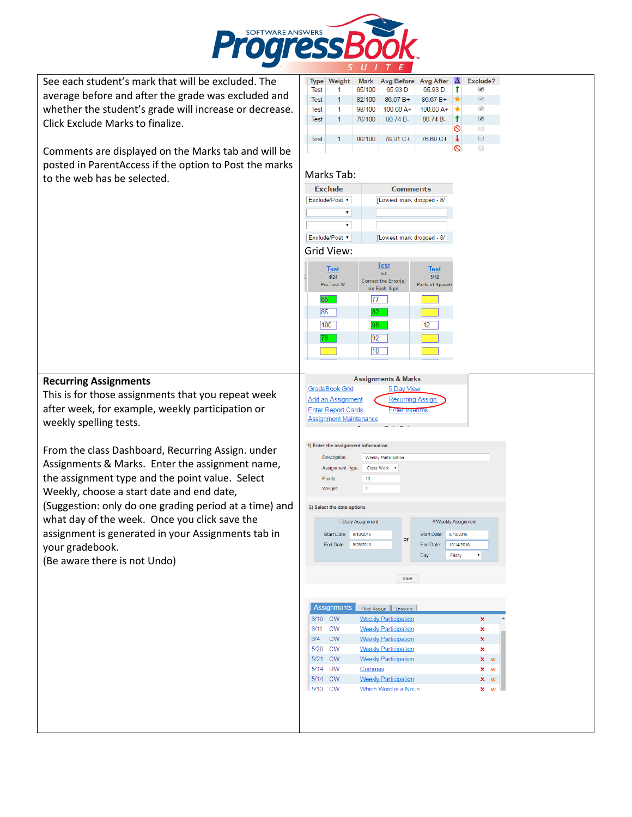

See each student's mark that will be excluded. The average before and after the grade was excluded and whether the student's grade will increase or decrease. Click Exclude Marks to finalize.

Comments are displayed on the Marks tab and will be posted in ParentAccess if the option to Post the marks to the web has be selected.

| <b>Type</b> | Weight |        | Mark Avg Before Avg After $\Delta$ Exclude? |             |       |                                                                                                                                                                                                                                                                                                                                               |
|-------------|--------|--------|---------------------------------------------|-------------|-------|-----------------------------------------------------------------------------------------------------------------------------------------------------------------------------------------------------------------------------------------------------------------------------------------------------------------------------------------------|
| Test        |        | 65/100 | 65.93 D                                     | 65.93 D     |       | ✔                                                                                                                                                                                                                                                                                                                                             |
| Test        | 1.     | 82/100 | 86.67 B+                                    | $86.67 B+$  | l skr | $\begin{picture}(20,20) \put(0,0){\line(1,0){0.5}} \put(15,0){\line(1,0){0.5}} \put(15,0){\line(1,0){0.5}} \put(15,0){\line(1,0){0.5}} \put(15,0){\line(1,0){0.5}} \put(15,0){\line(1,0){0.5}} \put(15,0){\line(1,0){0.5}} \put(15,0){\line(1,0){0.5}} \put(15,0){\line(1,0){0.5}} \put(15,0){\line(1,0){0.5}} \put(15,0){\line(1,0){0.5}} \$ |
| Test        | 1.     | 98/100 | $10000A+$                                   | $10000A+$   | ht i  | $\mathcal{A}$                                                                                                                                                                                                                                                                                                                                 |
| Test        | 1.     | 76/100 | $80.74 B -$                                 | $80.74 B -$ |       | $\overline{\mathcal{L}}$                                                                                                                                                                                                                                                                                                                      |
|             |        |        |                                             |             | ര     | ∩                                                                                                                                                                                                                                                                                                                                             |
| Test        | 1.     | 80/100 | 78.91 C+                                    | 76.60 C+    |       | $\Box$                                                                                                                                                                                                                                                                                                                                        |
|             |        |        |                                             |             |       |                                                                                                                                                                                                                                                                                                                                               |





## **Recurring Assignments**

This is for those assignments that you repeat week after week, for example, weekly participation or weekly spelling tests.

From the class Dashboard, Recurring Assign. under Assignments & Marks. Enter the assignment name, the assignment type and the point value. Select Weekly, choose a start date and end date, (Suggestion: only do one grading period at a time) and what day of the week. Once you click save the assignment is generated in your Assignments tab in your gradebook.

(Be aware there is not Undo)

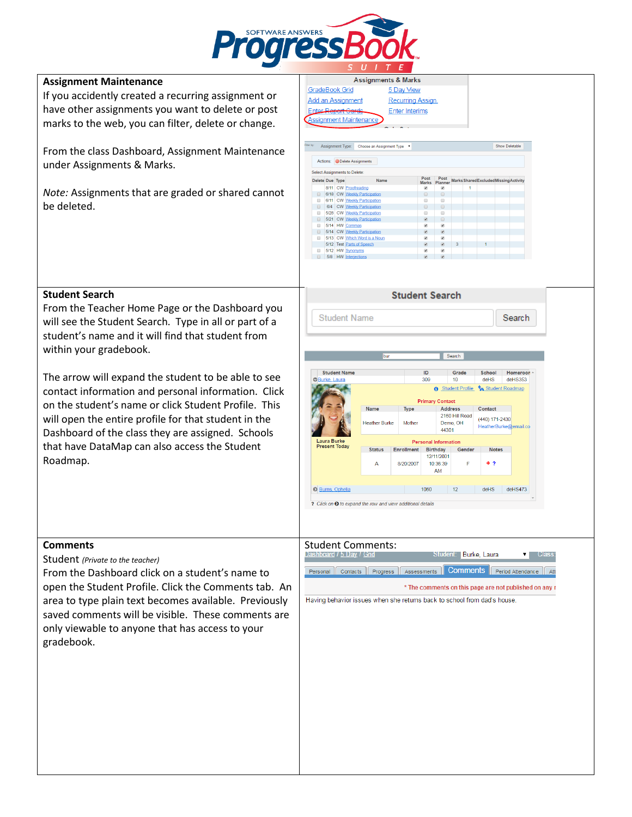

## **Assignment Maintenance**

If you accidently created a recurring assignment or have other assignments you want to delete or post marks to the web, you can filter, delete or change.

From the class Dashboard, Assignment Maintenance under Assignments & Marks.

*Note:* Assignments that are graded or shared cannot be deleted.

## **Student Search**

From the Teacher Home Page or the Dashboard you will see the Student Search. Type in all or part of a student's name and it will find that student from within your gradebook.

The arrow will expand the student to be able to see contact information and personal information. Click on the student's name or click Student Profile. This will open the entire profile for that student in the Dashboard of the class they are assigned. Schools that have DataMap can also access the Student Roadmap.

### **Comments**

Student *(Private to the teacher)*

From the Dashboard click on a student's name to open the Student Profile. Click the Comments tab. An area to type plain text becomes available. Previously saved comments will be visible. These comments are only viewable to anyone that has access to your gradebook.